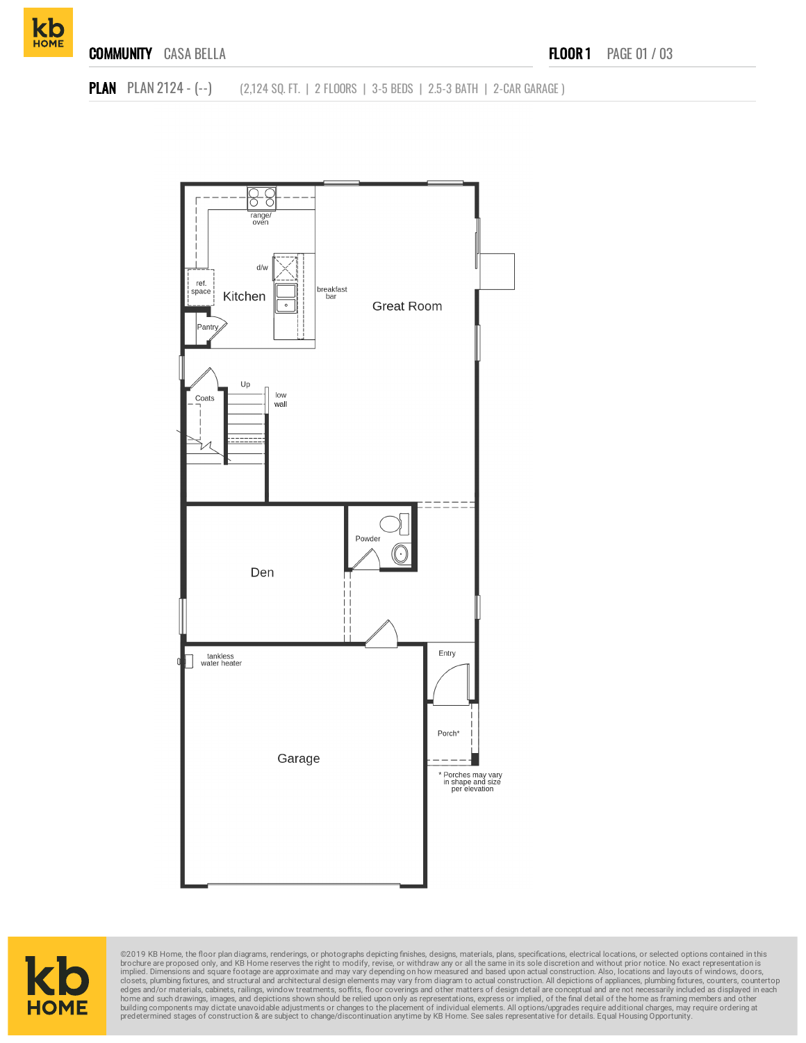

**PLAN** PLAN 2124 - (--) (2,124 SQ. FT. | 2 FLOORS | 3-5 BEDS | 2.5-3 BATH | 2-CAR GARAGE )





©2019 KB Home, the floor plan diagrams, renderings, or photographs depicting finishes, designs, materials, plans, specifications, electrical locations, or selected options contained in this brookure are proposed only, and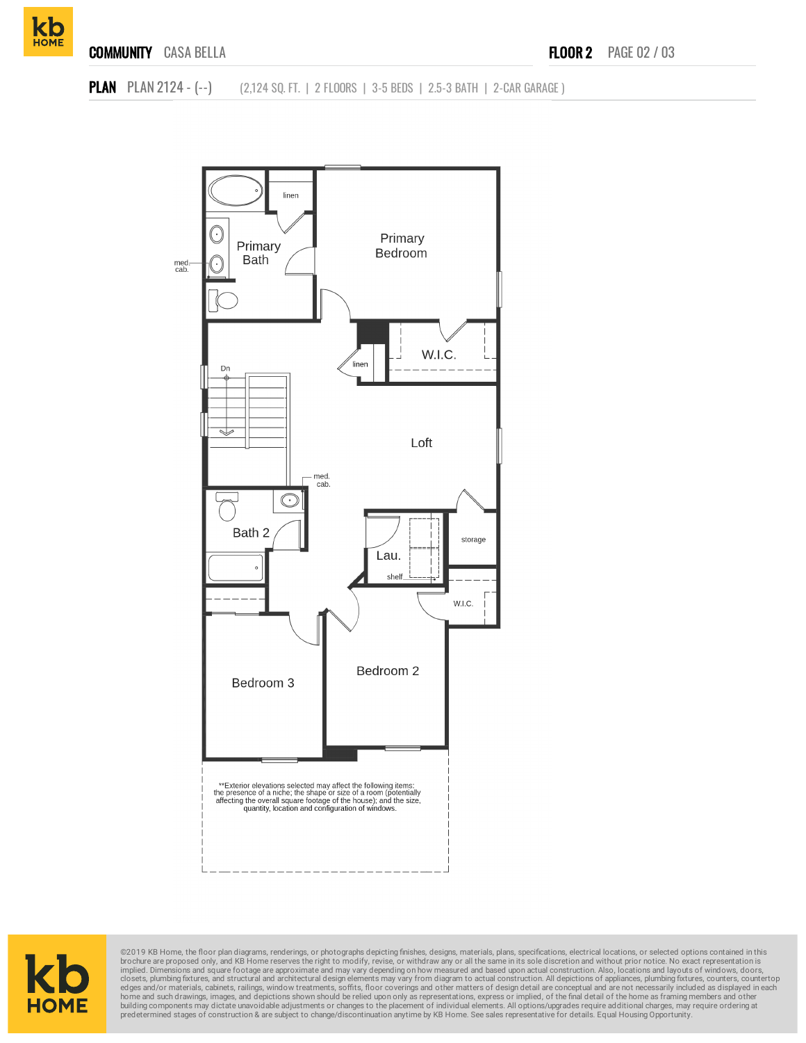

**PLAN** PLAN 2124 - (--) (2,124 SQ. FT. | 2 FLOORS | 3-5 BEDS | 2.5-3 BATH | 2-CAR GARAGE )





©2019 KB Home, the floor plan diagrams, renderings, or photographs depicting finishes, designs, materials, plans, specifications, electrical locations, or selected options contained in this brochure are proposed only, and KB Home reserves the right to modify, revise, or withdraw any or all the same in its sole discretion and without prior notice. No exact representation is<br>implied. Dimensions and square foota home and such drawings, images, and depictions shown should be relied upon only as representations, express or implied, of the final detail of the home as framing members and other<br>building components may dictate unavoidab